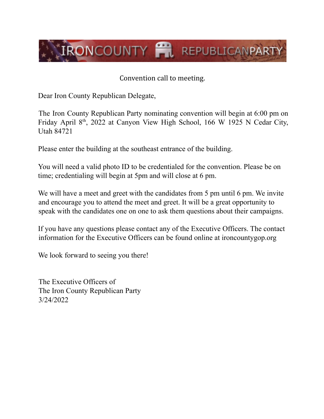

Convention call to meeting.

Dear Iron County Republican Delegate,

The Iron County Republican Party nominating convention will begin at 6:00 pm on Friday April 8<sup>th</sup>, 2022 at Canyon View High School, 166 W 1925 N Cedar City, Utah 84721

Please enter the building at the southeast entrance of the building.

You will need a valid photo ID to be credentialed for the convention. Please be on time; credentialing will begin at 5pm and will close at 6 pm.

We will have a meet and greet with the candidates from 5 pm until 6 pm. We invite and encourage you to attend the meet and greet. It will be a great opportunity to speak with the candidates one on one to ask them questions about their campaigns.

If you have any questions please contact any of the Executive Officers. The contact information for the Executive Officers can be found online at ironcountygop.org

We look forward to seeing you there!

The Executive Officers of The Iron County Republican Party 3/24/2022